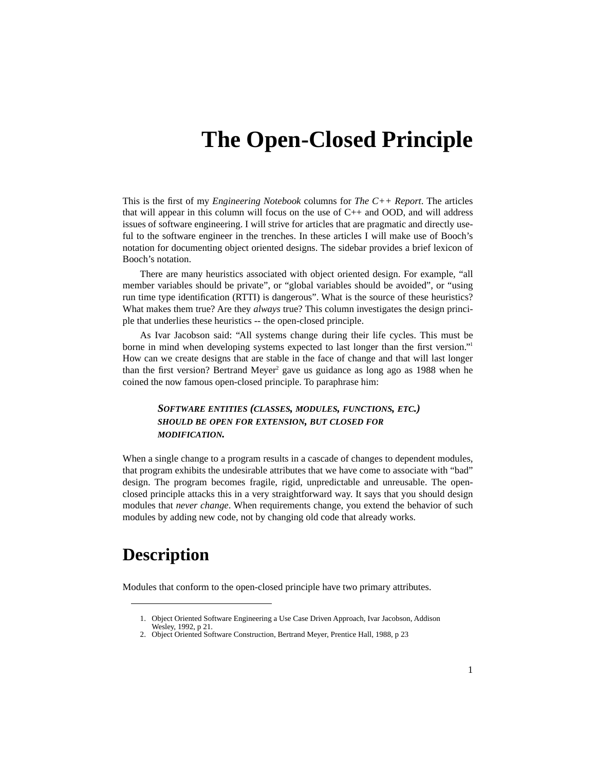# **The Open-Closed Principle**

This is the first of my *Engineering Notebook* columns for *The C++ Report*. The articles that will appear in this column will focus on the use of  $C_{++}$  and OOD, and will address issues of software engineering. I will strive for articles that are pragmatic and directly useful to the software engineer in the trenches. In these articles I will make use of Booch's notation for documenting object oriented designs. The sidebar provides a brief lexicon of Booch's notation.

There are many heuristics associated with object oriented design. For example, "all member variables should be private", or "global variables should be avoided", or "using run time type identification (RTTI) is dangerous". What is the source of these heuristics? What makes them true? Are they *always* true? This column investigates the design principle that underlies these heuristics -- the open-closed principle.

As Ivar Jacobson said: "All systems change during their life cycles. This must be borne in mind when developing systems expected to last longer than the first version."1 How can we create designs that are stable in the face of change and that will last longer than the first version? Bertrand Meyer<sup>2</sup> gave us guidance as long ago as 1988 when he coined the now famous open-closed principle. To paraphrase him:

# *SOFTWARE ENTITIES (CLASSES, MODULES, FUNCTIONS, ETC.) SHOULD BE OPEN FOR EXTENSION, BUT CLOSED FOR MODIFICATION.*

When a single change to a program results in a cascade of changes to dependent modules, that program exhibits the undesirable attributes that we have come to associate with "bad" design. The program becomes fragile, rigid, unpredictable and unreusable. The openclosed principle attacks this in a very straightforward way. It says that you should design modules that *never change*. When requirements change, you extend the behavior of such modules by adding new code, not by changing old code that already works.

# **Description**

Modules that conform to the open-closed principle have two primary attributes.

<sup>1.</sup> Object Oriented Software Engineering a Use Case Driven Approach, Ivar Jacobson, Addison

Wesley, 1992, p 21.

<sup>2.</sup> Object Oriented Software Construction, Bertrand Meyer, Prentice Hall, 1988, p 23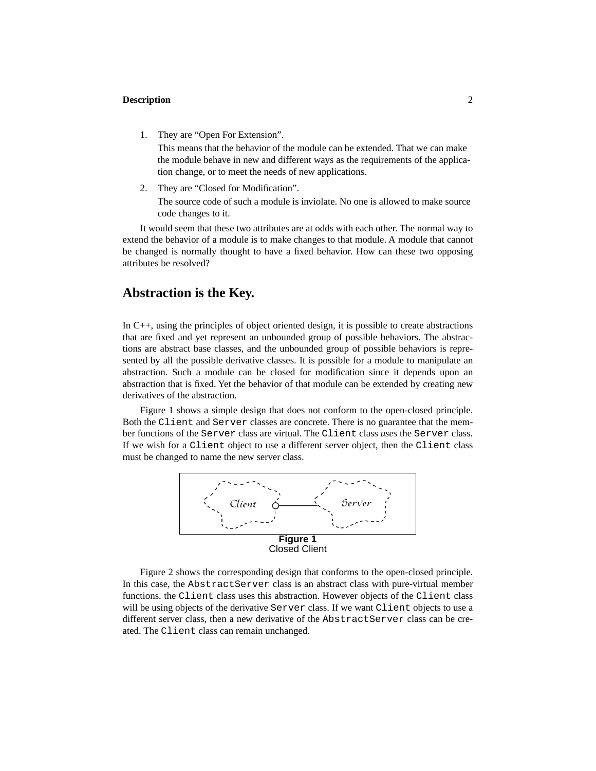#### **Description** 2

1. They are "Open For Extension".

This means that the behavior of the module can be extended. That we can make the module behave in new and different ways as the requirements of the application change, or to meet the needs of new applications.

2. They are "Closed for Modification".

The source code of such a module is inviolate. No one is allowed to make source code changes to it.

It would seem that these two attributes are at odds with each other. The normal way to extend the behavior of a module is to make changes to that module. A module that cannot be changed is normally thought to have a fixed behavior. How can these two opposing attributes be resolved?

# **Abstraction is the Key.**

In C++, using the principles of object oriented design, it is possible to create abstractions that are fixed and yet represent an unbounded group of possible behaviors. The abstractions are abstract base classes, and the unbounded group of possible behaviors is represented by all the possible derivative classes. It is possible for a module to manipulate an abstraction. Such a module can be closed for modification since it depends upon an abstraction that is fixed. Yet the behavior of that module can be extended by creating new derivatives of the abstraction.

Figure 1 shows a simple design that does not conform to the open-closed principle. Both the Client and Server classes are concrete. There is no guarantee that the member functions of the Server class are virtual. The Client class *uses* the Server class. If we wish for a Client object to use a different server object, then the Client class must be changed to name the new server class.



Figure 2 shows the corresponding design that conforms to the open-closed principle. In this case, the AbstractServer class is an abstract class with pure-virtual member functions. the Client class uses this abstraction. However objects of the Client class will be using objects of the derivative Server class. If we want Client objects to use a different server class, then a new derivative of the AbstractServer class can be created. The Client class can remain unchanged.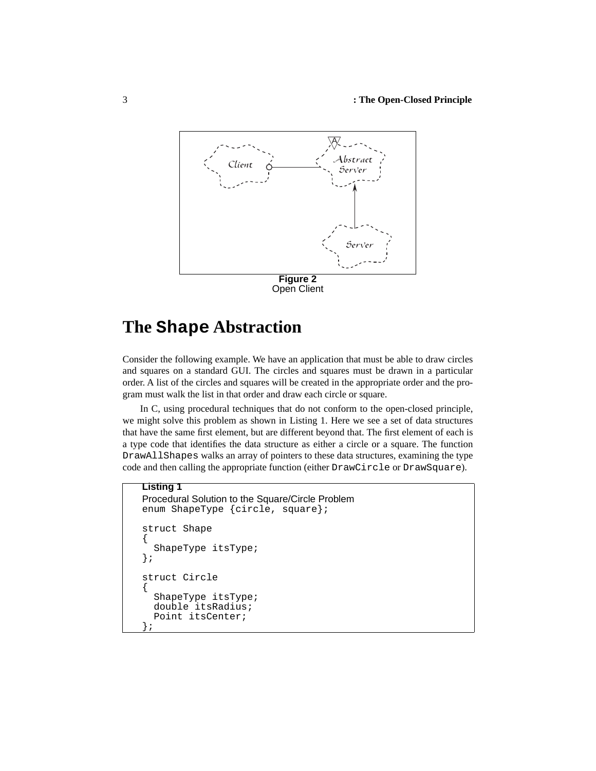

# **The Shape Abstraction**

Consider the following example. We have an application that must be able to draw circles and squares on a standard GUI. The circles and squares must be drawn in a particular order. A list of the circles and squares will be created in the appropriate order and the program must walk the list in that order and draw each circle or square.

In C, using procedural techniques that do not conform to the open-closed principle, we might solve this problem as shown in Listing 1. Here we see a set of data structures that have the same first element, but are different beyond that. The first element of each is a type code that identifies the data structure as either a circle or a square. The function DrawAllShapes walks an array of pointers to these data structures, examining the type code and then calling the appropriate function (either DrawCircle or DrawSquare).

# **Listing 1**

```
Procedural Solution to the Square/Circle Problem
enum ShapeType {circle, square};
struct Shape 
{
   ShapeType itsType;
};
struct Circle 
{
   ShapeType itsType;
   double itsRadius; 
   Point itsCenter;
};
```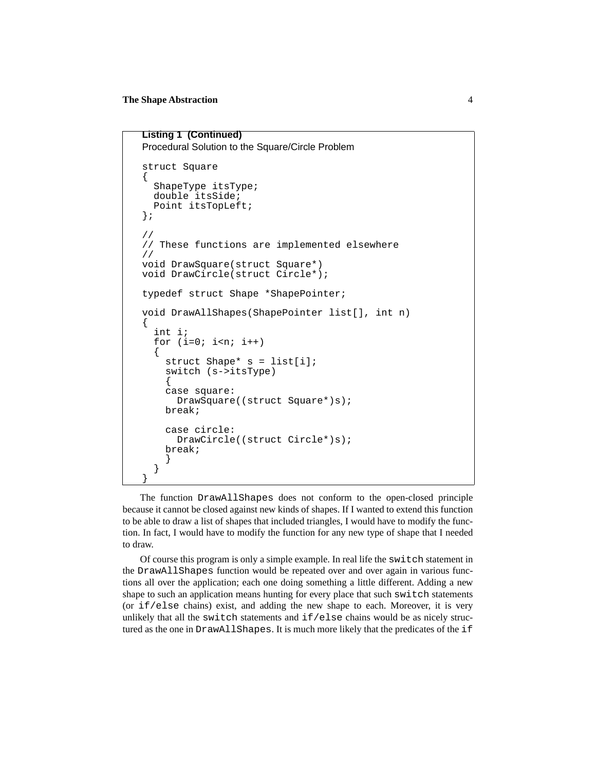**The Shape Abstraction** 4

```
struct Square 
{
   ShapeType itsType;
   double itsSide; 
   Point itsTopLeft;
};
//
// These functions are implemented elsewhere
//
void DrawSquare(struct Square*)
void DrawCircle(struct Circle*);
typedef struct Shape *ShapePointer;
void DrawAllShapes(ShapePointer list[], int n)
{
   int i;
  for (i=0; i<n; i++)\{struct Shape* s = list[i];
     switch (s->itsType)
\{ case square:
       DrawSquare((struct Square*)s);
     break;
     case circle:
       DrawCircle((struct Circle*)s);
     break;
     }
   }
}
Listing 1 (Continued)
Procedural Solution to the Square/Circle Problem
```
The function DrawAllShapes does not conform to the open-closed principle because it cannot be closed against new kinds of shapes. If I wanted to extend this function to be able to draw a list of shapes that included triangles, I would have to modify the function. In fact, I would have to modify the function for any new type of shape that I needed to draw.

Of course this program is only a simple example. In real life the switch statement in the DrawAllShapes function would be repeated over and over again in various functions all over the application; each one doing something a little different. Adding a new shape to such an application means hunting for every place that such switch statements (or if/else chains) exist, and adding the new shape to each. Moreover, it is very unlikely that all the switch statements and if/else chains would be as nicely structured as the one in DrawAllShapes. It is much more likely that the predicates of the if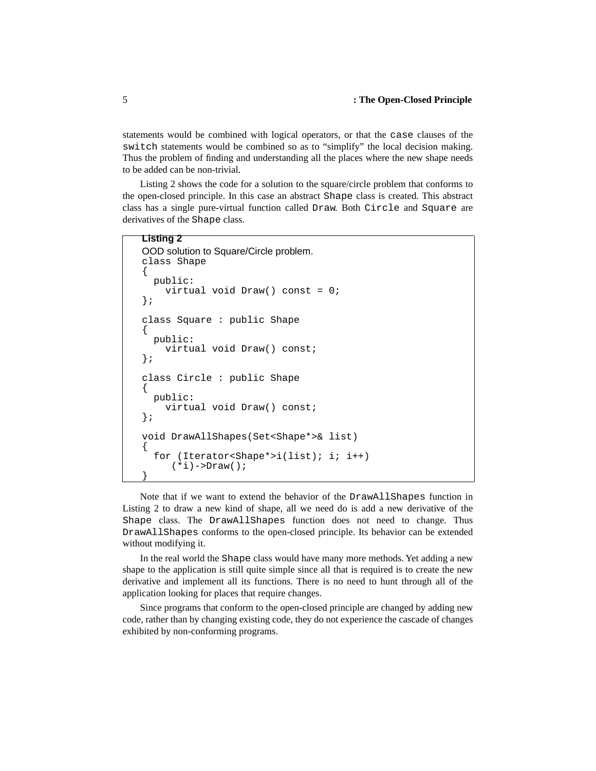statements would be combined with logical operators, or that the case clauses of the switch statements would be combined so as to "simplify" the local decision making. Thus the problem of finding and understanding all the places where the new shape needs to be added can be non-trivial.

Listing 2 shows the code for a solution to the square/circle problem that conforms to the open-closed principle. In this case an abstract Shape class is created. This abstract class has a single pure-virtual function called Draw. Both Circle and Square are derivatives of the Shape class.

## **Listing 2**

```
OOD solution to Square/Circle problem.
class Shape 
{
   public: 
     virtual void Draw() const = 0;
};
class Square : public Shape
{
   public: 
     virtual void Draw() const;
};
class Circle : public Shape
{
   public: 
     virtual void Draw() const;
};
void DrawAllShapes(Set<Shape*>& list)
{
   for (Iterator<Shape*>i(list); i; i++)
      (*i)->Draw();
}
```
Note that if we want to extend the behavior of the DrawAllShapes function in Listing 2 to draw a new kind of shape, all we need do is add a new derivative of the Shape class. The DrawAllShapes function does not need to change. Thus DrawAllShapes conforms to the open-closed principle. Its behavior can be extended without modifying it.

In the real world the Shape class would have many more methods. Yet adding a new shape to the application is still quite simple since all that is required is to create the new derivative and implement all its functions. There is no need to hunt through all of the application looking for places that require changes.

Since programs that conform to the open-closed principle are changed by adding new code, rather than by changing existing code, they do not experience the cascade of changes exhibited by non-conforming programs.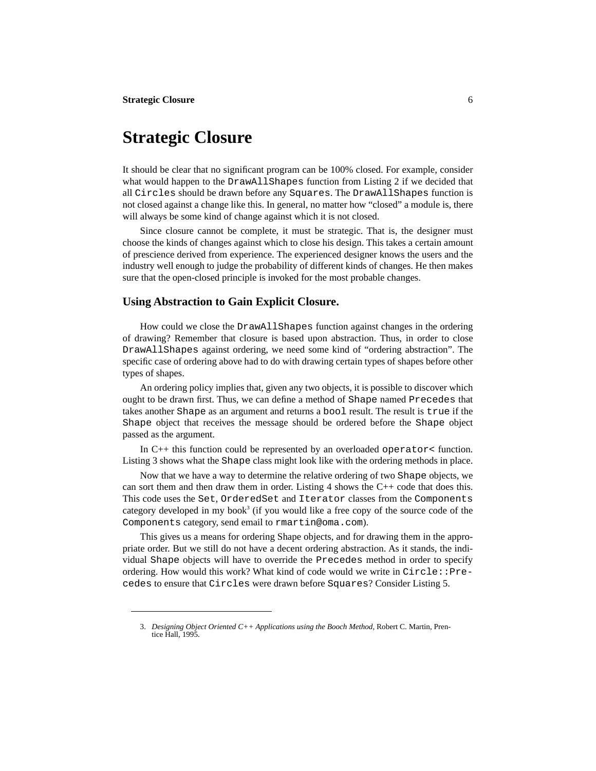# **Strategic Closure**

It should be clear that no significant program can be 100% closed. For example, consider what would happen to the DrawAllShapes function from Listing 2 if we decided that all Circles should be drawn before any Squares. The DrawAllShapes function is not closed against a change like this. In general, no matter how "closed" a module is, there will always be some kind of change against which it is not closed.

Since closure cannot be complete, it must be strategic. That is, the designer must choose the kinds of changes against which to close his design. This takes a certain amount of prescience derived from experience. The experienced designer knows the users and the industry well enough to judge the probability of different kinds of changes. He then makes sure that the open-closed principle is invoked for the most probable changes.

## **Using Abstraction to Gain Explicit Closure.**

How could we close the DrawAllShapes function against changes in the ordering of drawing? Remember that closure is based upon abstraction. Thus, in order to close DrawAllShapes against ordering, we need some kind of "ordering abstraction". The specific case of ordering above had to do with drawing certain types of shapes before other types of shapes.

An ordering policy implies that, given any two objects, it is possible to discover which ought to be drawn first. Thus, we can define a method of Shape named Precedes that takes another Shape as an argument and returns a bool result. The result is true if the Shape object that receives the message should be ordered before the Shape object passed as the argument.

In C++ this function could be represented by an overloaded operator< function. Listing 3 shows what the Shape class might look like with the ordering methods in place.

Now that we have a way to determine the relative ordering of two Shape objects, we can sort them and then draw them in order. Listing 4 shows the  $C++$  code that does this. This code uses the Set, OrderedSet and Iterator classes from the Components category developed in my book<sup>3</sup> (if you would like a free copy of the source code of the Components category, send email to rmartin@oma.com).

This gives us a means for ordering Shape objects, and for drawing them in the appropriate order. But we still do not have a decent ordering abstraction. As it stands, the individual Shape objects will have to override the Precedes method in order to specify ordering. How would this work? What kind of code would we write in Circle::Precedes to ensure that Circles were drawn before Squares? Consider Listing 5.

<sup>3.</sup> *Designing Object Oriented C++ Applications using the Booch Method*, Robert C. Martin, Prentice Hall, 1995.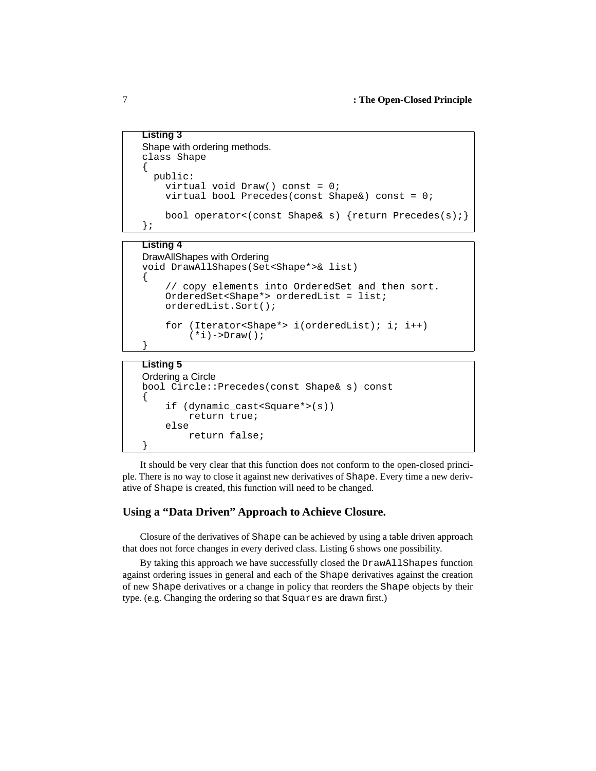# **Listing 3**

```
Shape with ordering methods.
class Shape
{
  public:
     virtual void Draw() const = 0;
     virtual bool Precedes(const Shape&) const = 0;
     bool operator<(const Shape& s) {return Precedes(s);}
};
```
# **Listing 4**

```
DrawAllShapes with Ordering
void DrawAllShapes(Set<Shape*>& list)
{
     // copy elements into OrderedSet and then sort.
     OrderedSet<Shape*> orderedList = list; 
     orderedList.Sort();
     for (Iterator<Shape*> i(orderedList); i; i++)
        (*i)->Draw();
}
```
#### **Listing 5** Ordering a Circle bool Circle::Precedes(const Shape& s) const { if (dynamic\_cast<Square\*>(s)) return true; else return false; }

It should be very clear that this function does not conform to the open-closed principle. There is no way to close it against new derivatives of Shape. Every time a new derivative of Shape is created, this function will need to be changed.

# **Using a "Data Driven" Approach to Achieve Closure.**

Closure of the derivatives of Shape can be achieved by using a table driven approach that does not force changes in every derived class. Listing 6 shows one possibility.

By taking this approach we have successfully closed the DrawAllShapes function against ordering issues in general and each of the Shape derivatives against the creation of new Shape derivatives or a change in policy that reorders the Shape objects by their type. (e.g. Changing the ordering so that Squares are drawn first.)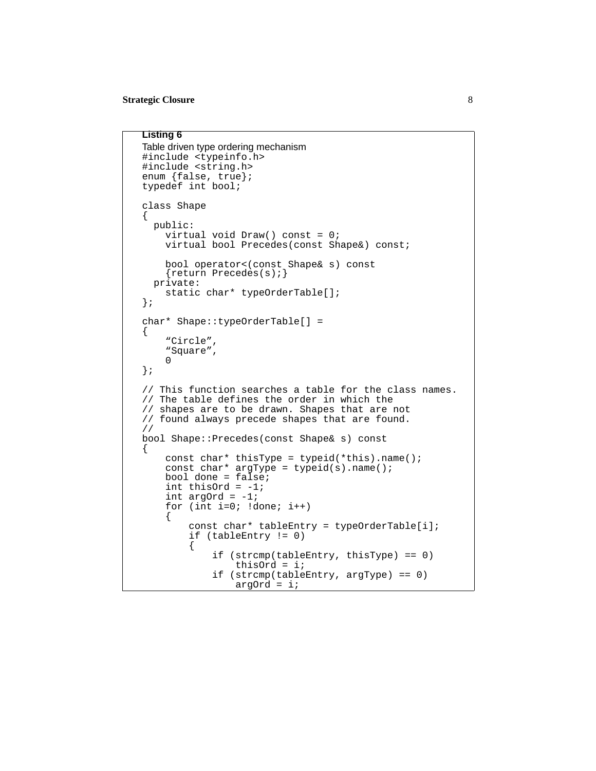**Strategic Closure** 8

```
Listing 6 
Table driven type ordering mechanism
#include <typeinfo.h>
#include <string.h>
enum {false, true};
typedef int bool;
class Shape
\{ public:
     virtual void Draw() const = 0;
     virtual bool Precedes(const Shape&) const;
     bool operator<(const Shape& s) const 
     {return Precedes(s);}
   private:
     static char* typeOrderTable[];
};
char* Shape::typeOrderTable[] =
{
     "Circle",
     "Square",
     0
};
// This function searches a table for the class names.
// The table defines the order in which the 
// shapes are to be drawn. Shapes that are not
// found always precede shapes that are found.
//
bool Shape::Precedes(const Shape& s) const
{
     const char* thisType = typeid(*this).name();
    const char* argType = typeid(s) .name();
     bool done = false;
    int thisOrd = -1;
    int arg0rd = -1;
    for (int i=0; !done; i++) {
          const char* tableEntry = typeOrderTable[i];
          if (tableEntry != 0)
\left\{ \begin{array}{c} \end{array} \right. if (strcmp(tableEntry, thisType) == 0)
                 thisOrd = i;
```
if (strcmp(tableEntry, argType) == 0)

 $argOrd = ii;$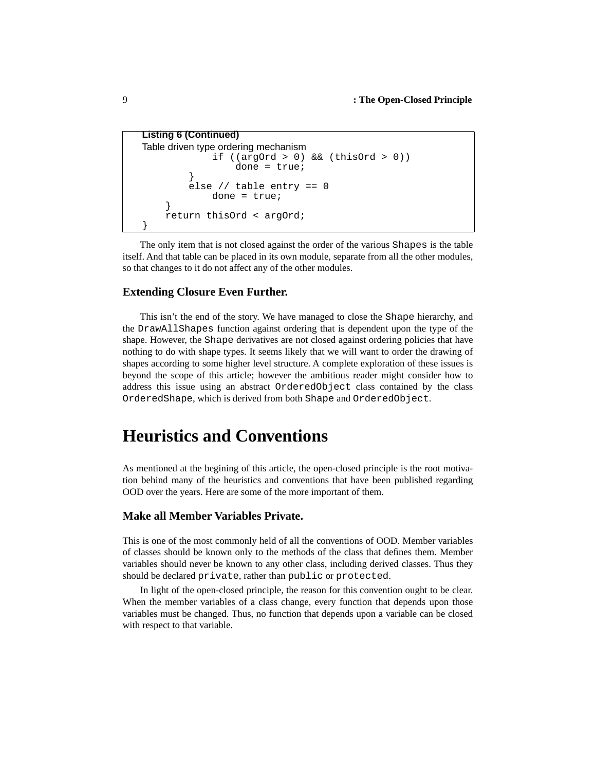```
 if ((argOrd > 0) && (thisOrd > 0))
                  done = true;
 }
         else // table entry == 0
              done = true;
     }
     return thisOrd < argOrd;
}
Listing 6 (Continued)
Table driven type ordering mechanism
```
The only item that is not closed against the order of the various Shapes is the table itself. And that table can be placed in its own module, separate from all the other modules, so that changes to it do not affect any of the other modules.

#### **Extending Closure Even Further.**

This isn't the end of the story. We have managed to close the Shape hierarchy, and the DrawAllShapes function against ordering that is dependent upon the type of the shape. However, the Shape derivatives are not closed against ordering policies that have nothing to do with shape types. It seems likely that we will want to order the drawing of shapes according to some higher level structure. A complete exploration of these issues is beyond the scope of this article; however the ambitious reader might consider how to address this issue using an abstract OrderedObject class contained by the class OrderedShape, which is derived from both Shape and OrderedObject.

# **Heuristics and Conventions**

As mentioned at the begining of this article, the open-closed principle is the root motivation behind many of the heuristics and conventions that have been published regarding OOD over the years. Here are some of the more important of them.

### **Make all Member Variables Private.**

This is one of the most commonly held of all the conventions of OOD. Member variables of classes should be known only to the methods of the class that defines them. Member variables should never be known to any other class, including derived classes. Thus they should be declared private, rather than public or protected.

In light of the open-closed principle, the reason for this convention ought to be clear. When the member variables of a class change, every function that depends upon those variables must be changed. Thus, no function that depends upon a variable can be closed with respect to that variable.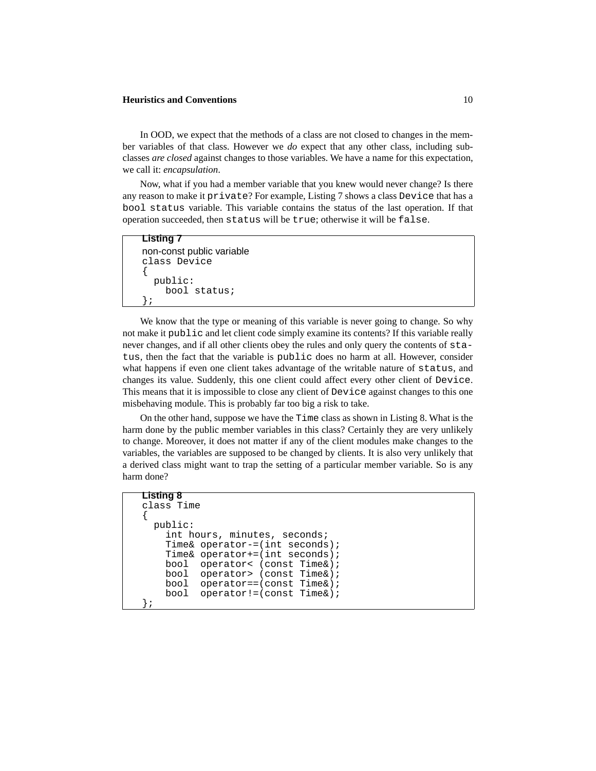#### **Heuristics and Conventions** 10

In OOD, we expect that the methods of a class are not closed to changes in the member variables of that class. However we *do* expect that any other class, including subclasses *are closed* against changes to those variables. We have a name for this expectation, we call it: *encapsulation*.

Now, what if you had a member variable that you knew would never change? Is there any reason to make it private? For example, Listing 7 shows a class Device that has a bool status variable. This variable contains the status of the last operation. If that operation succeeded, then status will be true; otherwise it will be false.

#### **Listing 7** non-const public variable class Device { public: bool status; };

We know that the type or meaning of this variable is never going to change. So why not make it public and let client code simply examine its contents? If this variable really never changes, and if all other clients obey the rules and only query the contents of status, then the fact that the variable is public does no harm at all. However, consider what happens if even one client takes advantage of the writable nature of status, and changes its value. Suddenly, this one client could affect every other client of Device. This means that it is impossible to close any client of Device against changes to this one misbehaving module. This is probably far too big a risk to take.

On the other hand, suppose we have the Time class as shown in Listing 8. What is the harm done by the public member variables in this class? Certainly they are very unlikely to change. Moreover, it does not matter if any of the client modules make changes to the variables, the variables are supposed to be changed by clients. It is also very unlikely that a derived class might want to trap the setting of a particular member variable. So is any harm done?

```
Listing 8 
class Time
{
   public:
    int hours, minutes, seconds;
     Time& operator-=(int seconds);
     Time& operator+=(int seconds);
     bool operator< (const Time&);
     bool operator> (const Time&);
     bool operator==(const Time&);
     bool operator!=(const Time&);
};
```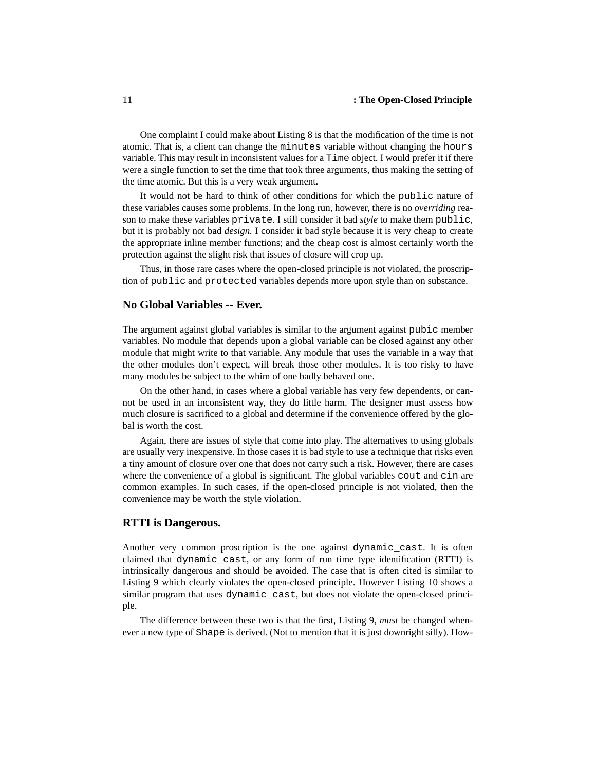#### 11 **: The Open-Closed Principle**

One complaint I could make about Listing 8 is that the modification of the time is not atomic. That is, a client can change the minutes variable without changing the hours variable. This may result in inconsistent values for a Time object. I would prefer it if there were a single function to set the time that took three arguments, thus making the setting of the time atomic. But this is a very weak argument.

It would not be hard to think of other conditions for which the public nature of these variables causes some problems. In the long run, however, there is no *overriding* reason to make these variables private. I still consider it bad *style* to make them public, but it is probably not bad *design.* I consider it bad style because it is very cheap to create the appropriate inline member functions; and the cheap cost is almost certainly worth the protection against the slight risk that issues of closure will crop up.

Thus, in those rare cases where the open-closed principle is not violated, the proscription of public and protected variables depends more upon style than on substance.

### **No Global Variables -- Ever.**

The argument against global variables is similar to the argument against pubic member variables. No module that depends upon a global variable can be closed against any other module that might write to that variable. Any module that uses the variable in a way that the other modules don't expect, will break those other modules. It is too risky to have many modules be subject to the whim of one badly behaved one.

On the other hand, in cases where a global variable has very few dependents, or cannot be used in an inconsistent way, they do little harm. The designer must assess how much closure is sacrificed to a global and determine if the convenience offered by the global is worth the cost.

Again, there are issues of style that come into play. The alternatives to using globals are usually very inexpensive. In those cases it is bad style to use a technique that risks even a tiny amount of closure over one that does not carry such a risk. However, there are cases where the convenience of a global is significant. The global variables cout and cin are common examples. In such cases, if the open-closed principle is not violated, then the convenience may be worth the style violation.

## **RTTI is Dangerous.**

Another very common proscription is the one against dynamic\_cast. It is often claimed that dynamic\_cast, or any form of run time type identification (RTTI) is intrinsically dangerous and should be avoided. The case that is often cited is similar to Listing 9 which clearly violates the open-closed principle. However Listing 10 shows a similar program that uses dynamic\_cast, but does not violate the open-closed principle.

The difference between these two is that the first, Listing 9, *must* be changed whenever a new type of Shape is derived. (Not to mention that it is just downright silly). How-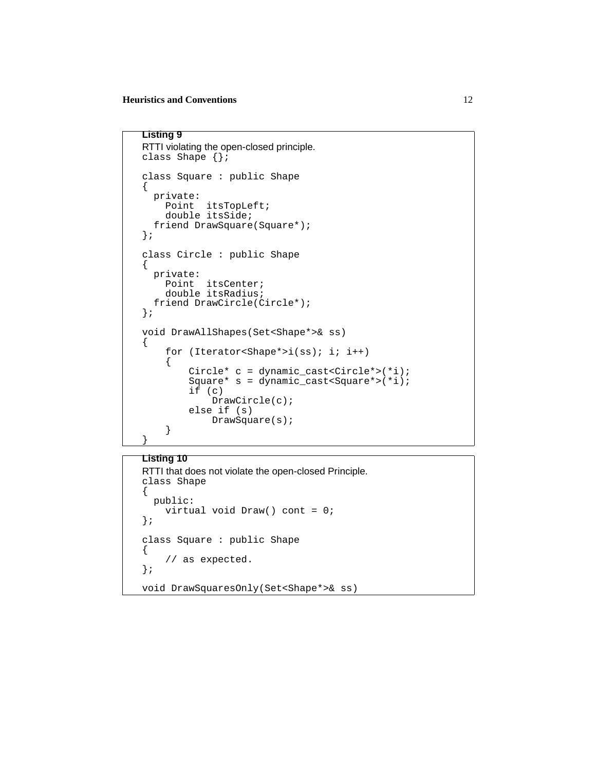```
Listing 9
```

```
RTTI violating the open-closed principle.
class Shape {};
class Square : public Shape
{
   private:
     Point itsTopLeft;
     double itsSide;
  friend DrawSquare(Square*);
};
class Circle : public Shape
\{ private:
     Point itsCenter;
     double itsRadius;
   friend DrawCircle(Circle*);
};
void DrawAllShapes(Set<Shape*>& ss)
{
     for (Iterator<Shape*>i(ss); i; i++)
     {
         Circle* c = dynamic_cast<Circle*>(*i);
        Square* s = dynamic_cast<Square*>(*i);
         if (c)
             DrawCircle(c);
         else if (s)
             DrawSquare(s);
     }
```
### **Listing 10**

}

```
RTTI that does not violate the open-closed Principle.
class Shape
{
   public:
     virtual void Draw() cont = 0;
};
class Square : public Shape
{
     // as expected.
};
void DrawSquaresOnly(Set<Shape*>& ss)
```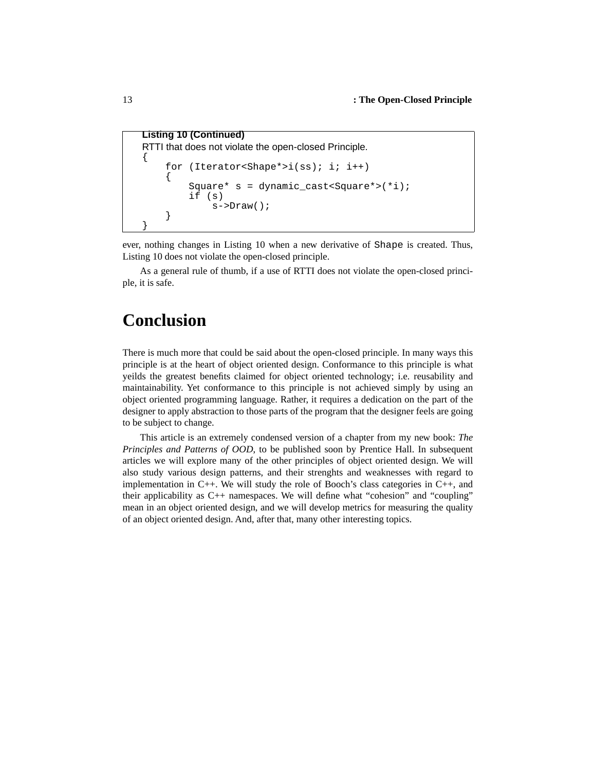```
\{ for (Iterator<Shape*>i(ss); i; i++)
      {
          Square* s = dynamic_cast<Square*>(*i);
          if (s)
               s->Draw();
      }
}
Listing 10 (Continued)
RTTI that does not violate the open-closed Principle.
```
ever, nothing changes in Listing 10 when a new derivative of Shape is created. Thus, Listing 10 does not violate the open-closed principle.

As a general rule of thumb, if a use of RTTI does not violate the open-closed principle, it is safe.

# **Conclusion**

There is much more that could be said about the open-closed principle. In many ways this principle is at the heart of object oriented design. Conformance to this principle is what yeilds the greatest benefits claimed for object oriented technology; i.e. reusability and maintainability. Yet conformance to this principle is not achieved simply by using an object oriented programming language. Rather, it requires a dedication on the part of the designer to apply abstraction to those parts of the program that the designer feels are going to be subject to change.

This article is an extremely condensed version of a chapter from my new book: *The Principles and Patterns of OOD*, to be published soon by Prentice Hall. In subsequent articles we will explore many of the other principles of object oriented design. We will also study various design patterns, and their strenghts and weaknesses with regard to implementation in  $C++$ . We will study the role of Booch's class categories in  $C++$ , and their applicability as C++ namespaces. We will define what "cohesion" and "coupling" mean in an object oriented design, and we will develop metrics for measuring the quality of an object oriented design. And, after that, many other interesting topics.